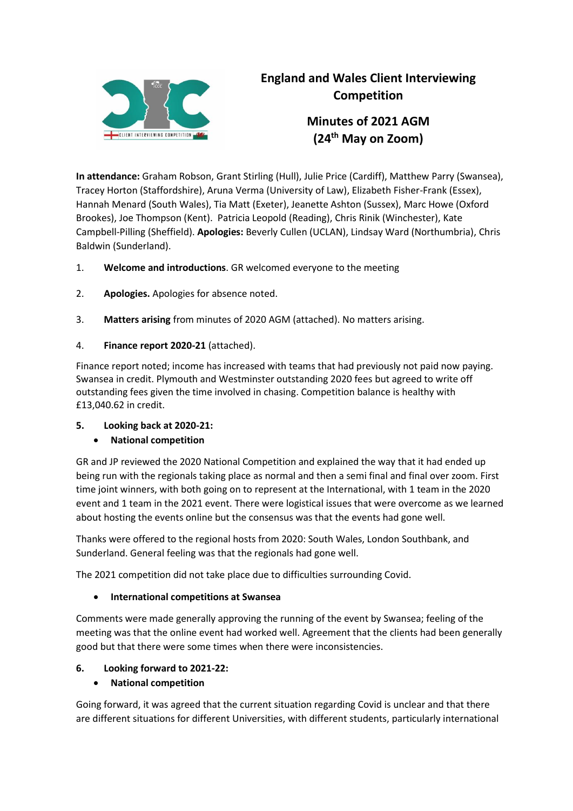

# **England and Wales Client Interviewing Competition**

**Minutes of 2021 AGM (24th May on Zoom)**

**In attendance:** Graham Robson, Grant Stirling (Hull), Julie Price (Cardiff), Matthew Parry (Swansea), Tracey Horton (Staffordshire), Aruna Verma (University of Law), Elizabeth Fisher-Frank (Essex), Hannah Menard (South Wales), Tia Matt (Exeter), Jeanette Ashton (Sussex), Marc Howe (Oxford Brookes), Joe Thompson (Kent). Patricia Leopold (Reading), Chris Rinik (Winchester), Kate Campbell-Pilling (Sheffield). **Apologies:** Beverly Cullen (UCLAN), Lindsay Ward (Northumbria), Chris Baldwin (Sunderland).

- 1. **Welcome and introductions**. GR welcomed everyone to the meeting
- 2. **Apologies.** Apologies for absence noted.
- 3. **Matters arising** from minutes of 2020 AGM (attached). No matters arising.
- 4. **Finance report 2020-21** (attached).

Finance report noted; income has increased with teams that had previously not paid now paying. Swansea in credit. Plymouth and Westminster outstanding 2020 fees but agreed to write off outstanding fees given the time involved in chasing. Competition balance is healthy with £13,040.62 in credit.

# **5. Looking back at 2020-21:**

# **National competition**

GR and JP reviewed the 2020 National Competition and explained the way that it had ended up being run with the regionals taking place as normal and then a semi final and final over zoom. First time joint winners, with both going on to represent at the International, with 1 team in the 2020 event and 1 team in the 2021 event. There were logistical issues that were overcome as we learned about hosting the events online but the consensus was that the events had gone well.

Thanks were offered to the regional hosts from 2020: South Wales, London Southbank, and Sunderland. General feeling was that the regionals had gone well.

The 2021 competition did not take place due to difficulties surrounding Covid.

# **International competitions at Swansea**

Comments were made generally approving the running of the event by Swansea; feeling of the meeting was that the online event had worked well. Agreement that the clients had been generally good but that there were some times when there were inconsistencies.

# **6. Looking forward to 2021-22:**

# **National competition**

Going forward, it was agreed that the current situation regarding Covid is unclear and that there are different situations for different Universities, with different students, particularly international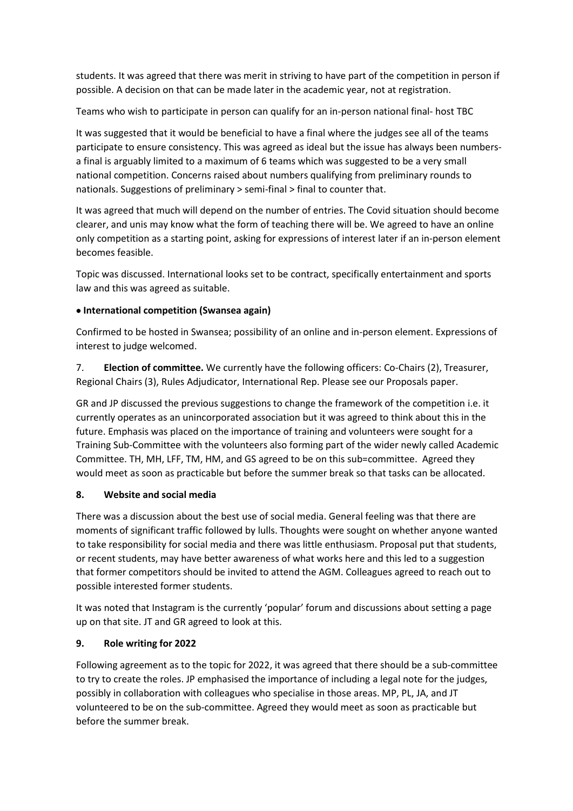students. It was agreed that there was merit in striving to have part of the competition in person if possible. A decision on that can be made later in the academic year, not at registration.

Teams who wish to participate in person can qualify for an in-person national final- host TBC

It was suggested that it would be beneficial to have a final where the judges see all of the teams participate to ensure consistency. This was agreed as ideal but the issue has always been numbersa final is arguably limited to a maximum of 6 teams which was suggested to be a very small national competition. Concerns raised about numbers qualifying from preliminary rounds to nationals. Suggestions of preliminary > semi-final > final to counter that.

It was agreed that much will depend on the number of entries. The Covid situation should become clearer, and unis may know what the form of teaching there will be. We agreed to have an online only competition as a starting point, asking for expressions of interest later if an in-person element becomes feasible.

Topic was discussed. International looks set to be contract, specifically entertainment and sports law and this was agreed as suitable.

# **International competition (Swansea again)**

Confirmed to be hosted in Swansea; possibility of an online and in-person element. Expressions of interest to judge welcomed.

7. **Election of committee.** We currently have the following officers: Co-Chairs (2), Treasurer, Regional Chairs (3), Rules Adjudicator, International Rep. Please see our Proposals paper.

GR and JP discussed the previous suggestions to change the framework of the competition i.e. it currently operates as an unincorporated association but it was agreed to think about this in the future. Emphasis was placed on the importance of training and volunteers were sought for a Training Sub-Committee with the volunteers also forming part of the wider newly called Academic Committee. TH, MH, LFF, TM, HM, and GS agreed to be on this sub=committee. Agreed they would meet as soon as practicable but before the summer break so that tasks can be allocated.

# **8. Website and social media**

There was a discussion about the best use of social media. General feeling was that there are moments of significant traffic followed by lulls. Thoughts were sought on whether anyone wanted to take responsibility for social media and there was little enthusiasm. Proposal put that students, or recent students, may have better awareness of what works here and this led to a suggestion that former competitors should be invited to attend the AGM. Colleagues agreed to reach out to possible interested former students.

It was noted that Instagram is the currently 'popular' forum and discussions about setting a page up on that site. JT and GR agreed to look at this.

# **9. Role writing for 2022**

Following agreement as to the topic for 2022, it was agreed that there should be a sub-committee to try to create the roles. JP emphasised the importance of including a legal note for the judges, possibly in collaboration with colleagues who specialise in those areas. MP, PL, JA, and JT volunteered to be on the sub-committee. Agreed they would meet as soon as practicable but before the summer break.